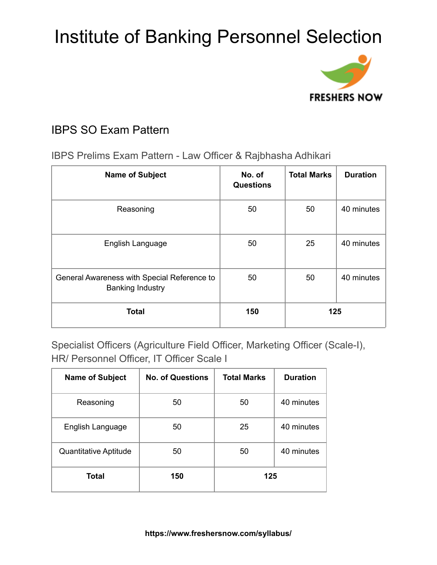

## IBPS SO Exam Pattern

IBPS Prelims Exam Pattern - Law Officer & Rajbhasha Adhikari

| <b>Name of Subject</b>                                                 | No. of<br><b>Questions</b> | <b>Total Marks</b> | <b>Duration</b> |
|------------------------------------------------------------------------|----------------------------|--------------------|-----------------|
| Reasoning                                                              | 50                         | 50                 | 40 minutes      |
| English Language                                                       | 50                         | 25                 | 40 minutes      |
| General Awareness with Special Reference to<br><b>Banking Industry</b> | 50                         | 50                 | 40 minutes      |
| <b>Total</b>                                                           | 150                        | 125                |                 |

Specialist Officers (Agriculture Field Officer, Marketing Officer (Scale-I), HR/ Personnel Officer, IT Officer Scale I

| <b>Name of Subject</b> | <b>No. of Questions</b> | <b>Total Marks</b> | <b>Duration</b> |
|------------------------|-------------------------|--------------------|-----------------|
| Reasoning              | 50                      | 50                 | 40 minutes      |
| English Language       | 50                      | 25                 | 40 minutes      |
| Quantitative Aptitude  | 50                      | 50                 | 40 minutes      |
| Total                  | 150                     | 125                |                 |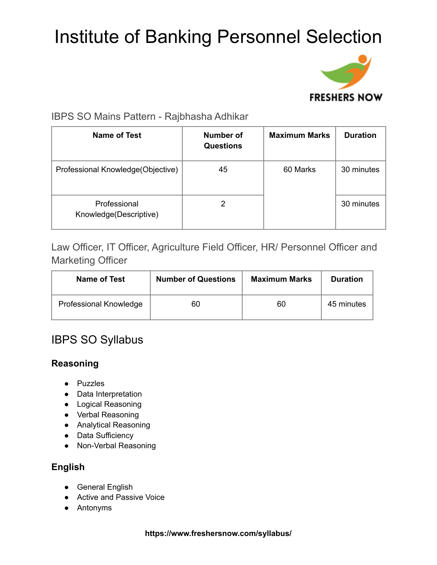

## IBPS SO Mains Pattern - Rajbhasha Adhikar

| Name of Test                           | Number of<br><b>Questions</b> | <b>Maximum Marks</b> | <b>Duration</b> |
|----------------------------------------|-------------------------------|----------------------|-----------------|
| Professional Knowledge (Objective)     | 45                            | 60 Marks             | 30 minutes      |
| Professional<br>Knowledge(Descriptive) |                               |                      | 30 minutes      |

Law Officer, IT Officer, Agriculture Field Officer, HR/ Personnel Officer and Marketing Officer

| Name of Test           | <b>Number of Questions</b> | <b>Maximum Marks</b> | <b>Duration</b> |
|------------------------|----------------------------|----------------------|-----------------|
| Professional Knowledge | 60                         | 60                   | 45 minutes      |

## IBPS SO Syllabus

### **Reasoning**

- Puzzles
- Data Interpretation
- Logical Reasoning
- Verbal Reasoning
- Analytical Reasoning
- Data Sufficiency
- Non-Verbal Reasoning

### **English**

- General English
- Active and Passive Voice
- Antonyms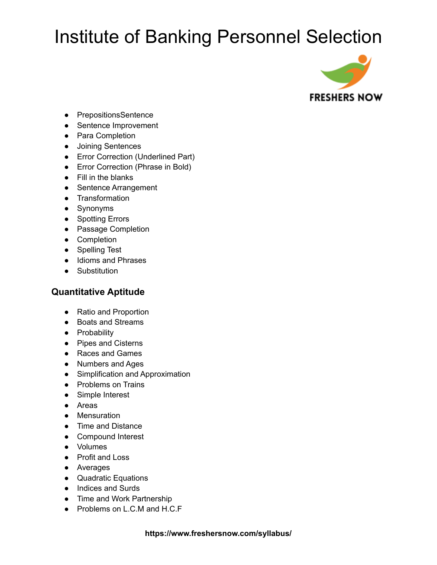

- PrepositionsSentence
- Sentence Improvement
- Para Completion
- Joining Sentences
- Error Correction (Underlined Part)
- Error Correction (Phrase in Bold)
- Fill in the blanks
- Sentence Arrangement
- Transformation
- Synonyms
- Spotting Errors
- Passage Completion
- Completion
- Spelling Test
- Idioms and Phrases
- Substitution

### **Quantitative Aptitude**

- Ratio and Proportion
- Boats and Streams
- Probability
- Pipes and Cisterns
- Races and Games
- Numbers and Ages
- Simplification and Approximation
- Problems on Trains
- Simple Interest
- Areas
- Mensuration
- Time and Distance
- Compound Interest
- Volumes
- Profit and Loss
- Averages
- Quadratic Equations
- Indices and Surds
- Time and Work Partnership
- Problems on L.C.M and H.C.F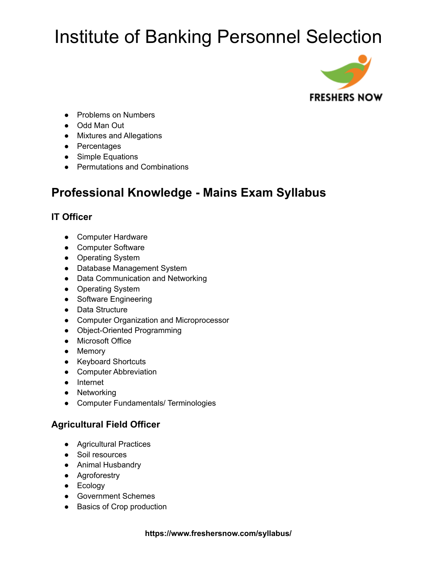

- Problems on Numbers
- Odd Man Out
- Mixtures and Allegations
- Percentages
- Simple Equations
- Permutations and Combinations

## **Professional Knowledge - Mains Exam Syllabus**

## **IT Officer**

- Computer Hardware
- Computer Software
- Operating System
- Database Management System
- Data Communication and Networking
- Operating System
- Software Engineering
- Data Structure
- Computer Organization and Microprocessor
- Object-Oriented Programming
- Microsoft Office
- Memory
- Keyboard Shortcuts
- Computer Abbreviation
- Internet
- Networking
- Computer Fundamentals/ Terminologies

### **Agricultural Field Officer**

- Agricultural Practices
- Soil resources
- Animal Husbandry
- Agroforestry
- Ecology
- Government Schemes
- Basics of Crop production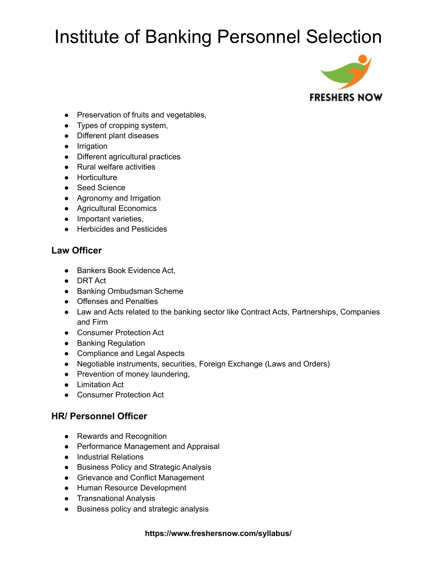

- Preservation of fruits and vegetables,
- Types of cropping system,
- Different plant diseases
- Irrigation
- Different agricultural practices
- Rural welfare activities
- Horticulture
- Seed Science
- Agronomy and Irrigation
- Agricultural Economics
- Important varieties,
- Herbicides and Pesticides

### **Law Officer**

- Bankers Book Evidence Act,
- DRT Act
- Banking Ombudsman Scheme
- Offenses and Penalties
- Law and Acts related to the banking sector like Contract Acts, Partnerships, Companies and Firm
- Consumer Protection Act
- Banking Regulation
- Compliance and Legal Aspects
- Negotiable instruments, securities, Foreign Exchange (Laws and Orders)
- Prevention of money laundering,
- Limitation Act
- Consumer Protection Act

### **HR/ Personnel Officer**

- Rewards and Recognition
- Performance Management and Appraisal
- Industrial Relations
- Business Policy and Strategic Analysis
- Grievance and Conflict Management
- Human Resource Development
- Transnational Analysis
- Business policy and strategic analysis

#### **https://www.freshersnow.com/syllabus/**